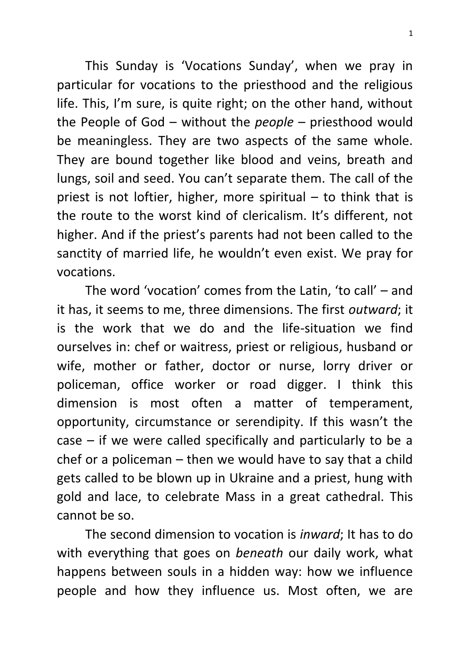This Sunday is 'Vocations Sunday', when we pray in particular for vocations to the priesthood and the religious life. This, I'm sure, is quite right; on the other hand, without the People of God – without the *people* – priesthood would be meaningless. They are two aspects of the same whole. They are bound together like blood and veins, breath and lungs, soil and seed. You can't separate them. The call of the priest is not loftier, higher, more spiritual  $-$  to think that is the route to the worst kind of clericalism. It's different, not higher. And if the priest's parents had not been called to the sanctity of married life, he wouldn't even exist. We pray for vocations.

The word 'vocation' comes from the Latin, 'to call' – and it has, it seems to me, three dimensions. The first *outward*; it is the work that we do and the life-situation we find ourselves in: chef or waitress, priest or religious, husband or wife, mother or father, doctor or nurse, lorry driver or policeman, office worker or road digger. I think this dimension is most often a matter of temperament, opportunity, circumstance or serendipity. If this wasn't the case – if we were called specifically and particularly to be a chef or a policeman – then we would have to say that a child gets called to be blown up in Ukraine and a priest, hung with gold and lace, to celebrate Mass in a great cathedral. This cannot be so.

The second dimension to vocation is *inward*; It has to do with everything that goes on *beneath* our daily work, what happens between souls in a hidden way: how we influence people and how they influence us. Most often, we are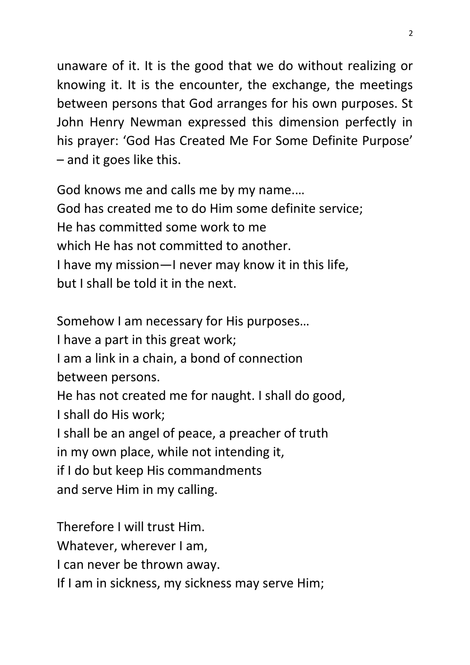unaware of it. It is the good that we do without realizing or knowing it. It is the encounter, the exchange, the meetings between persons that God arranges for his own purposes. St John Henry Newman expressed this dimension perfectly in his prayer: 'God Has Created Me For Some Definite Purpose' – and it goes like this.

God knows me and calls me by my name.… God has created me to do Him some definite service; He has committed some work to me which He has not committed to another. I have my mission—I never may know it in this life, but I shall be told it in the next.

Somehow I am necessary for His purposes…

I have a part in this great work;

I am a link in a chain, a bond of connection between persons.

He has not created me for naught. I shall do good, I shall do His work;

I shall be an angel of peace, a preacher of truth

in my own place, while not intending it,

if I do but keep His commandments

and serve Him in my calling.

Therefore I will trust Him. Whatever, wherever I am, I can never be thrown away. If I am in sickness, my sickness may serve Him;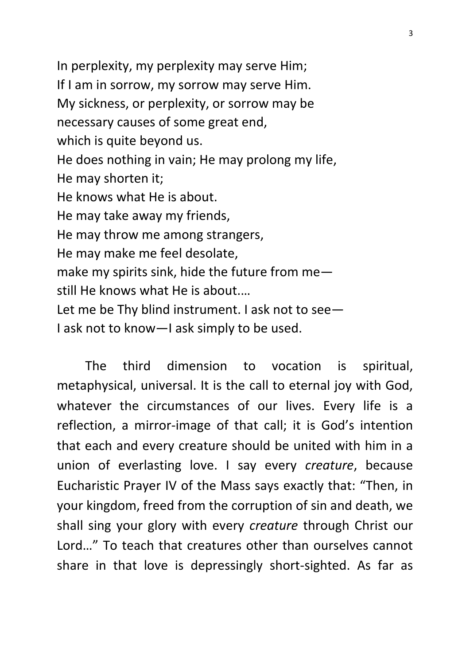In perplexity, my perplexity may serve Him; If I am in sorrow, my sorrow may serve Him. My sickness, or perplexity, or sorrow may be necessary causes of some great end, which is quite beyond us. He does nothing in vain; He may prolong my life, He may shorten it; He knows what He is about. He may take away my friends, He may throw me among strangers, He may make me feel desolate, make my spirits sink, hide the future from me still He knows what He is about.… Let me be Thy blind instrument. I ask not to see— I ask not to know—I ask simply to be used.

The third dimension to vocation is spiritual, metaphysical, universal. It is the call to eternal joy with God, whatever the circumstances of our lives. Every life is a reflection, a mirror-image of that call; it is God's intention that each and every creature should be united with him in a union of everlasting love. I say every *creature*, because Eucharistic Prayer IV of the Mass says exactly that: "Then, in your kingdom, freed from the corruption of sin and death, we shall sing your glory with every *creature* through Christ our Lord…" To teach that creatures other than ourselves cannot share in that love is depressingly short-sighted. As far as